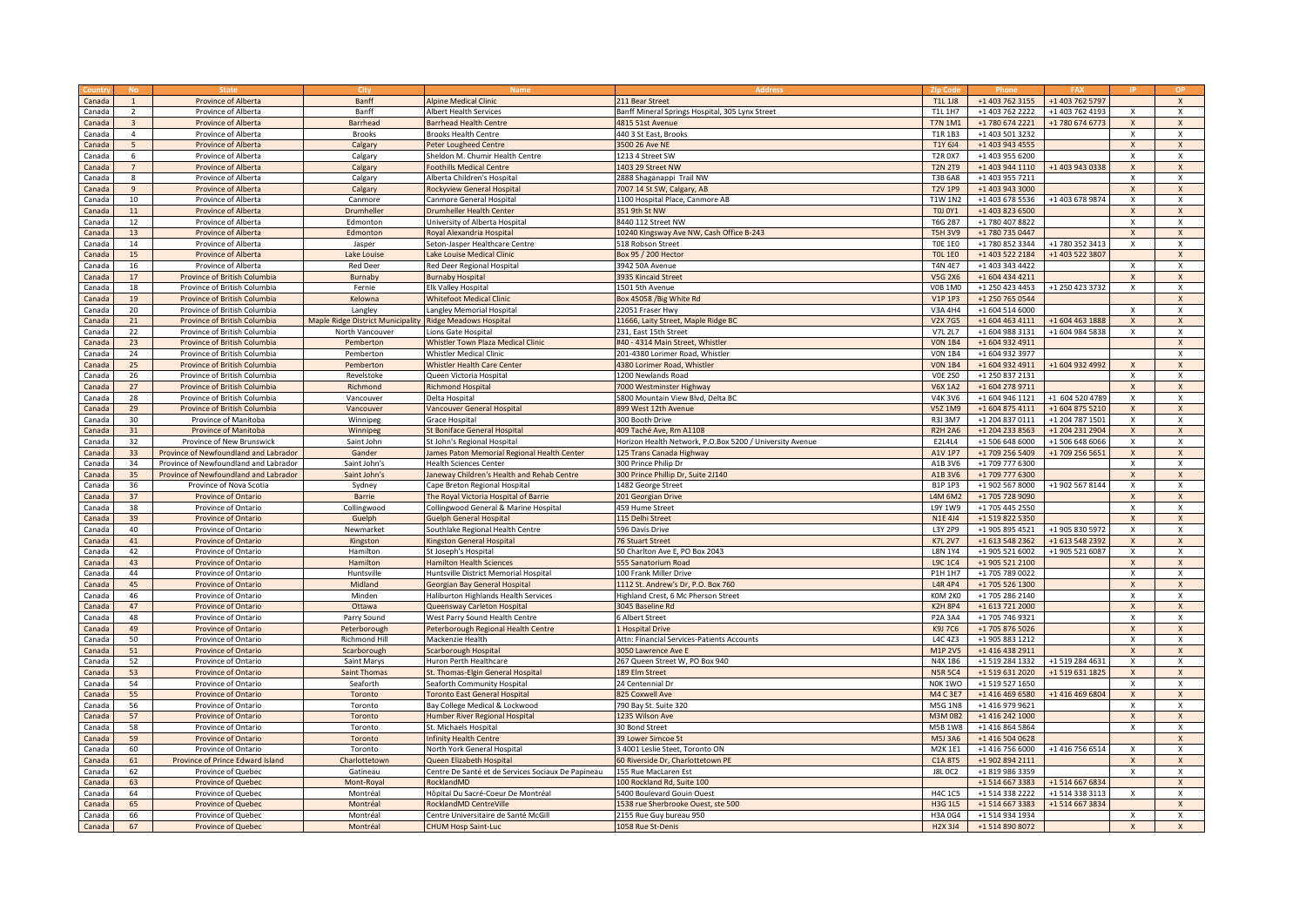|        |                  |                                       | City                              |                                                    |                                                          | Zin Cor        |                 |                 |                         |                           |
|--------|------------------|---------------------------------------|-----------------------------------|----------------------------------------------------|----------------------------------------------------------|----------------|-----------------|-----------------|-------------------------|---------------------------|
| Canada |                  | Province of Alberta                   | Banff                             | <b>Alpine Medical Clinic</b>                       | 211 Bear Street                                          | T1L 1J8        | +1 403 762 3155 | +1 403 762 5797 |                         | $\mathsf{x}$              |
| Canada | $\overline{2}$   | Province of Alberta                   | Banff                             | Albert Health Services                             | Banff Mineral Springs Hospital, 305 Lynx Street          | T1L 1H7        | +1 403 762 2222 | +1 403 762 4193 | $\mathsf{x}$            | $\mathbf{x}$              |
| Canada | $\overline{3}$   | Province of Alberta                   | <b>Barrhead</b>                   | <b>Barrhead Health Centre</b>                      | 4815 51st Avenue                                         | <b>T7N 1M1</b> | +1 780 674 2221 | +1 780 674 6773 | $\mathsf X$             | $\mathbf{x}$              |
| Canada | $\overline{4}$   | Province of Alberta                   | <b>Brooks</b>                     | Brooks Health Centre                               | 440 3 St East, Brooks                                    | T1R 1B3        | +1 403 501 3232 |                 | X                       | $\boldsymbol{\mathsf{x}}$ |
| Canada | 5 <sup>5</sup>   | Province of Alberta                   | Calgary                           | Peter Lougheed Centre                              | 3500 26 Ave NE                                           | T1Y 6J4        | +1 403 943 4555 |                 | $\mathsf X$             | $\mathsf{x}$              |
|        |                  |                                       |                                   |                                                    |                                                          |                |                 |                 |                         |                           |
| Canada | 6                | Province of Alberta                   | Calgary                           | Sheldon M. Chumir Health Centre                    | 1213 4 Street SW                                         | <b>T2R 0X7</b> | +1 403 955 6200 |                 | X                       | $\mathsf{x}$              |
| Canada |                  | Province of Alberta                   | Calgary                           | oothills Medical Centre                            | 1403 29 Street NW                                        | <b>T2N 2T9</b> | +1 403 944 1110 | +1 403 943 0338 | $\mathsf X$             | $\mathsf{x}$              |
| Canada | 8                | Province of Alberta                   | Calgary                           | Alberta Children's Hospital                        | 2888 Shaganappi Trail NW                                 | <b>T3B 6A8</b> | +1 403 955 7211 |                 | $\overline{\mathbf{x}}$ | $\pmb{\chi}$              |
| Canada | 9                | <b>Province of Alberta</b>            | Calgary                           | Rockyview General Hospital                         | 7007 14 St SW, Calgary, AB                               | <b>T2V 1P9</b> | +1 403 943 3000 |                 | $\mathsf X$             | $\mathsf{x}$              |
| Canada | 10 <sup>10</sup> | Province of Alberta                   | Canmore                           | Canmore General Hospital                           | 1100 Hospital Place, Canmore AB                          | T1W 1N2        | +1 403 678 5536 | +1 403 678 9874 | X                       | $\mathsf{x}$              |
| Canada | 11               | Province of Alberta                   | Drumheller                        | <b>Drumheller Health Center</b>                    | 351 9th St NW                                            | <b>T0J 0Y1</b> | +1 403 823 6500 |                 | $\mathsf{x}$            | $\mathsf{x}$              |
| Canada | 12               | Province of Alberta                   | Edmonton                          | University of Alberta Hospital                     | 8440 112 Street NW                                       | <b>T6G 2B7</b> | +1 780 407 8822 |                 | X                       | $\times$                  |
| Canada | 13               | Province of Alberta                   | Edmonton                          | Royal Alexandria Hospital                          | 10240 Kingsway Ave NW, Cash Office B-243                 | <b>T5H 3V9</b> | +1 780 735 0447 |                 | $\mathsf X$             | $\mathsf{x}$              |
| Canada | 14               | Province of Alberta                   | Jasper                            | Seton-Jasper Healthcare Centre                     | 518 Robson Street                                        | <b>TOE 1E0</b> | +1 780 852 3344 | +1 780 352 3413 | X                       | $\boldsymbol{\mathsf{x}}$ |
| Canada | 15               | Province of Alberta                   | Lake Louise                       | ake Louise Medical Clinic                          | Box 95 / 200 Hector                                      | <b>TOL 1E0</b> | +1 403 522 2184 | +1 403 522 3807 |                         | $\mathsf{x}$              |
| Canada | 16               | Province of Alberta                   | <b>Red Deer</b>                   | Red Deer Regional Hospital                         | 3942 50A Avenue                                          | <b>T4N 4E7</b> | +1 403 343 4422 |                 | X                       | $\boldsymbol{\mathsf{x}}$ |
| Canada | 17               |                                       | Burnaby                           |                                                    |                                                          |                | +1 604 434 4211 |                 | $\mathsf{x}$            | $\mathsf{x}$              |
|        |                  | Province of British Columbia          |                                   | <b>Burnaby Hospital</b>                            | 3935 Kincaid Street                                      | <b>V5G 2X6</b> |                 |                 |                         |                           |
| Canada | 18               | Province of British Columbia          | Fernie                            | Ik Valley Hospital                                 | 1501 5th Avenue                                          | <b>V0B 1M0</b> | +1 250 423 4453 | +1 250 423 3732 | $\mathsf{x}$            | $\boldsymbol{\mathsf{x}}$ |
| Canada | 19               | Province of British Columbia          | Kelowna                           | <b>Nhitefoot Medical Clinic</b>                    | Box 45058 / Big White Rd                                 | <b>V1P 1P3</b> | +1 250 765 0544 |                 |                         | $\mathsf{x}$              |
| Canada | 20               | Province of British Columbia          | Langley                           | Langley Memorial Hospital                          | 22051 Fraser Hwy                                         | V3A 4H4        | +1 604 514 6000 |                 | X                       | $\boldsymbol{\mathsf{x}}$ |
| Canada | 21               | Province of British Columbia          | Maple Ridge District Municipality | <b>Ridge Meadows Hospital</b>                      | 11666, Laity Street, Maple Ridge BC                      | V2X 7G5        | +1 604 463 4111 | +1 604 463 1888 | $\mathsf{x}$            | $\mathsf{x}$              |
| Canada | 22               | Province of British Columbia          | North Vancouver                   | Lions Gate Hospital                                | 231, East 15th Street                                    | V7L 2L7        | +1 604 988 3131 | +1 604 984 5838 | X                       | $\boldsymbol{\mathsf{x}}$ |
| Canada | 23               | Province of British Columbia          | Pemberton                         | <b>Whistler Town Plaza Medical Clinic</b>          | #40 - 4314 Main Street, Whistler                         | <b>VON 1B4</b> | +1 604 932 4911 |                 |                         | $\mathsf{x}$              |
| Canada | 24               | Province of British Columbia          | Pemberton                         | Whistler Medical Clinic                            | 201-4380 Lorimer Road, Whistler                          | <b>VON 1B4</b> | +1 604 932 3977 |                 |                         | $\boldsymbol{\mathsf{x}}$ |
| Canada | 25               | Province of British Columbia          | Pemberton                         | <b>Whistler Health Care Center</b>                 | 4380 Lorimer Road, Whistler                              | <b>VON 1B4</b> | +1 604 932 4911 | +1 604 932 4992 | $\mathsf{x}$            | $\mathsf{x}$              |
| Canada | 26               | Province of British Columbia          | Revelstoke                        | Queen Victoria Hospital                            | 1200 Newlands Road                                       | <b>VOE 2SO</b> | +1 250 837 2131 |                 | X                       | $\mathsf{x}$              |
| Canada | 27               | Province of British Columbia          | Richmond                          | Richmond Hospital                                  | 7000 Westminster Highway                                 | <b>V6X 1A2</b> | +1 604 278 9711 |                 | $\mathbf{x}$            | $\mathbf{x}$              |
|        |                  |                                       |                                   |                                                    |                                                          |                | +1 604 946 1121 |                 | X                       | $\chi$                    |
| Canada | 28               | Province of British Columbia          | Vancouver                         | Delta Hospital                                     | 5800 Mountain View Blvd, Delta BC                        | <b>V4K3V6</b>  |                 | +1 604 520 4789 |                         |                           |
| Canada | 29               | Province of British Columbia          | Vancouver                         | <b>Vancouver General Hospital</b>                  | 899 West 12th Avenue                                     | V5Z 1M9        | +1 604 875 4111 | +1 604 875 5210 | $\mathsf{x}$            | $\boldsymbol{\mathsf{x}}$ |
| Canada | 30               | Province of Manitoba                  | Winnipeg                          | Grace Hospital                                     | 300 Booth Drive                                          | R3J 3M7        | +1 204 837 0111 | +1 204 787 1501 | X                       | $\pmb{\times}$            |
| Canada | 31               | Province of Manitoba                  | Winnipeg                          | <b>St Boniface General Hospital</b>                | 409 Taché Ave, Rm A1108                                  | <b>R2H 2A6</b> | +1 204 233 8563 | +1 204 231 2904 | X                       | $\mathsf{x}$              |
| Canada | 32               | Province of New Brunswick             | Saint John                        | St John's Regional Hospital                        | Horizon Health Network, P.O.Box 5200 / University Avenue | E2L4L4         | +1 506 648 6000 | +1 506 648 6066 | X                       | $\boldsymbol{\mathsf{x}}$ |
| Canada | 33               | Province of Newfoundland and Labrador | Gander                            | ames Paton Memorial Regional Health Center         | 125 Trans Canada Highway                                 | A1V 1P7        | +1 709 256 5409 | +1 709 256 5651 | $\overline{\mathbf{x}}$ | $\boldsymbol{\mathsf{x}}$ |
| Canada | 34               | Province of Newfoundland and Labrador | Saint John's                      | <b>Health Sciences Center</b>                      | 300 Prince Philip Dr                                     | A1B 3V6        | +1 709 777 6300 |                 | X                       | $\boldsymbol{\mathsf{x}}$ |
| Canada | 35               | Province of Newfoundland and Labrador | Saint John's                      | aneway Children's Health and Rehab Centre          | 300 Prince Phillip Dr, Suite 2J140                       | A1B 3V6        | +1 709 777 6300 |                 | $\pmb{\mathsf{X}}$      | X                         |
| Canada | 36               | Province of Nova Scotia               | Sydney                            | Cape Breton Regional Hospital                      | 1482 George Street                                       | B1P 1P3        | +1 902 567 8000 | +1 902 567 8144 | X                       | $\mathsf{x}$              |
| Canada | 37               | <b>Province of Ontario</b>            | Barrie                            | The Roval Victoria Hospital of Barrie              | 201 Georgian Drive                                       | L4M 6M2        | +1 705 728 9090 |                 | $\mathsf{x}$            | $\mathsf{X}$              |
| Canada | 38               | Province of Ontario                   | Collingwood                       | Collingwood General & Marine Hospital              | 459 Hume Street                                          | L9Y 1W9        | +1 705 445 2550 |                 | $\pmb{\mathsf{X}}$      | $\chi$                    |
| Canada | 39               | Province of Ontario                   | Guelph                            | <b>Suelph General Hospital</b>                     | 115 Delhi Street                                         | <b>N1E 4J4</b> | +1 519 822 5350 |                 | $\mathsf{x}$            | $\boldsymbol{\mathsf{x}}$ |
| Canada | 40               | Province of Ontario                   | Newmarket                         |                                                    | 596 Davis Drive                                          | L3Y 2P9        | +1 905 895 4521 | +1 905 830 5972 | X                       |                           |
|        |                  |                                       |                                   | Southlake Regional Health Centre                   |                                                          |                |                 |                 |                         | X                         |
| Canada | 41               | Province of Ontario                   | Kingston                          | Kingston General Hospital                          | 76 Stuart Street                                         | <b>K7L 2V7</b> | +1 613 548 2362 | +1 613 548 2392 | X                       | $\mathsf{x}$              |
| Canada | 42               | Province of Ontario                   | Hamilton                          | St Joseph's Hospital                               | 50 Charlton Ave E, PO Box 2043                           | L8N 1Y4        | +1 905 521 6002 | +1 905 521 6087 | X                       | $\boldsymbol{\mathsf{x}}$ |
| Canada | 43               | <b>Province of Ontario</b>            | Hamilton                          | <b>Hamilton Health Sciences</b>                    | 555 Sanatorium Road                                      | L9C 1C4        | +1 905 521 2100 |                 | $\overline{X}$          | $\mathbf{x}$              |
| Canada | 44               | Province of Ontario                   | Huntsville                        | Huntsville District Memorial Hospital              | 100 Frank Miller Drive                                   | P1H 1H7        | +1 705 789 0022 |                 | X                       | $\boldsymbol{\mathsf{x}}$ |
| Canada | 45               | Province of Ontario                   | Midland                           | Georgian Bay General Hospital                      | 1112 St. Andrew's Dr, P.O. Box 760                       | L4R 4P4        | +1 705 526 1300 |                 | $\mathsf{x}$            | $\boldsymbol{\mathsf{x}}$ |
| Canada | 46               | Province of Ontario                   | Minden                            | Haliburton Highlands Health Services               | Highland Crest, 6 Mc Pherson Street                      | KOM 2KO        | +1 705 286 2140 |                 | x                       | $\boldsymbol{\mathsf{x}}$ |
| Canada | 47               | <b>Province of Ontario</b>            | Ottawa                            | Queensway Carleton Hospital                        | 3045 Baseline Rd                                         | <b>K2H 8P4</b> | +1 613 721 2000 |                 | $\mathsf{x}$            | $\mathsf{x}$              |
| Canada | 48               | Province of Ontario                   | Parry Sound                       | West Parry Sound Health Centre                     | 6 Albert Street                                          | P2A 3A4        | +1 705 746 9321 |                 | $\mathsf{x}$            | $\mathsf{x}$              |
| Canada | 49               | Province of Ontario                   | Peterborough                      | Peterborough Regional Health Centre                | 1 Hospital Drive                                         | K9J 7C6        | +1 705 876 5026 |                 | $\mathsf{x}$            | $\boldsymbol{\mathsf{x}}$ |
| Canada | 50               | Province of Ontario                   | Richmond Hill                     | Mackenzie Health                                   | Attn: Financial Services-Patients Accounts               | <b>L4C 4Z3</b> | +1 905 883 1212 |                 | X                       | Х                         |
| Canada | 51               | <b>Province of Ontario</b>            | Scarborough                       | Scarborough Hospital                               | 3050 Lawrence Ave E                                      | M1P 2V5        | +1 416 438 2911 |                 | $\mathsf X$             | $\mathsf{X}$              |
| Canada | 52               | Province of Ontario                   | Saint Marys                       | Huron Perth Healthcare                             | 267 Queen Street W, PO Box 940                           | N4X 1B6        | +1 519 284 1332 | +1 519 284 4631 | X                       | $\mathsf{x}$              |
| Canada | 53               | Province of Ontario                   | Saint Thomas                      | St. Thomas-Elgin General Hospital                  | 189 Elm Street                                           | <b>N5R 5C4</b> | +1 519 631 2020 | +1 519 631 1825 | $\mathsf X$             | $\mathbf{x}$              |
| Canada | 54               | Province of Ontario                   | Seaforth                          | Seaforth Community Hospital                        | 24 Centennial Dr                                         | NOK 1WO        | +1 519 527 1650 |                 | X                       | $\boldsymbol{\mathsf{x}}$ |
| Canada | 55               | Province of Ontario                   | Toronto                           | <b>Foronto East General Hospital</b>               | 825 Coxwell Ave                                          | M4 C 3E7       | +1 416 469 6580 | +1 416 469 6804 | $\mathsf{x}$            | $\boldsymbol{\mathsf{x}}$ |
|        |                  |                                       |                                   |                                                    |                                                          |                |                 |                 |                         |                           |
| Canada | 56               | Province of Ontario                   | Toronto                           | Bay College Medical & Lockwood                     | 790 Bay St. Suite 320                                    | M5G 1N8        | +1 416 979 9621 |                 | Х                       | $\boldsymbol{\mathsf{x}}$ |
| Canada | 57               | <b>Province of Ontario</b>            | Toronto                           | Humber River Regional Hospital                     | 1235 Wilson Ave                                          | <b>M3M 0B2</b> | +1 416 242 1000 |                 | $\mathsf{x}$            | $\mathsf{x}$              |
| Canada | 58               | Province of Ontario                   | Toronto                           | St. Michaels Hospital                              | 30 Bond Street                                           | M5B 1W8        | +1 416 864 5864 |                 | $\pmb{\mathsf{X}}$      | $\mathsf{x}$              |
| Canada | 59               | Province of Ontario                   | Toronto                           | Infinity Health Centre                             | 39 Lower Simcoe St                                       | M5J 3A6        | +1 416 504 0628 |                 |                         | $\mathsf{x}$              |
| Canada | 60               | Province of Ontario                   | Toronto                           | North York General Hospital                        | 3 4001 Leslie Steet, Toronto ON                          | M2K 1E1        | +1 416 756 6000 | +1 416 756 6514 | X                       | Χ                         |
| Canada | 61               | Province of Prince Edward Island      | Charlottetown                     | Queen Elizabeth Hospital                           | 60 Riverside Dr, Charlottetown PE                        | C1A 8T5        | +1 902 894 2111 |                 | $\mathsf{x}$            | $\mathsf{X}$              |
| Canada | 62               | Province of Quebec                    | Gatineau                          | Centre De Santé et de Services Sociaux De Papineau | 155 Rue MacLaren Est                                     | J8L 0C2        | +1 819 986 3359 |                 | х                       | $\mathbf{x}$              |
| Canada | 63               | Province of Quebec                    | Mont-Royal                        | RocklandMD                                         | 100 Rockland Rd, Suite 100                               |                | +1 514 667 3383 | +1 514 667 6834 |                         | $\mathsf{X}$              |
| Canada | 64               | Province of Quebec                    | Montréal                          | Hôpital Du Sacré-Coeur De Montréal                 | 5400 Boulevard Gouin Ouest                               | <b>H4C 1C5</b> | +1 514 338 2222 | +1 514 338 3113 | X                       | $\boldsymbol{\mathsf{x}}$ |
| Canada | 65               | <b>Province of Quebec</b>             | Montréal                          | RocklandMD CentreVille                             | 1538 rue Sherbrooke Ouest, ste 500                       | <b>H3G 1L5</b> | +1 514 667 3383 | +1 514 667 3834 |                         | $\boldsymbol{\mathsf{x}}$ |
| Canada | 66               | Province of Quebec                    | Montréal                          | Centre Universitaire de Santé McGill               | 2155 Rue Guy bureau 950                                  | H3A 0G4        | +1 514 934 1934 |                 | X                       | $\mathsf{x}$              |
| Canada | 67               | Province of Quebec                    | Montréal                          | <b>CHUM Hosp Saint-Luc</b>                         | 1058 Rue St-Denis                                        | H2X 3J4        | +1 514 890 8072 |                 | $\mathsf{x}$            | $\mathsf{x}$              |
|        |                  |                                       |                                   |                                                    |                                                          |                |                 |                 |                         |                           |